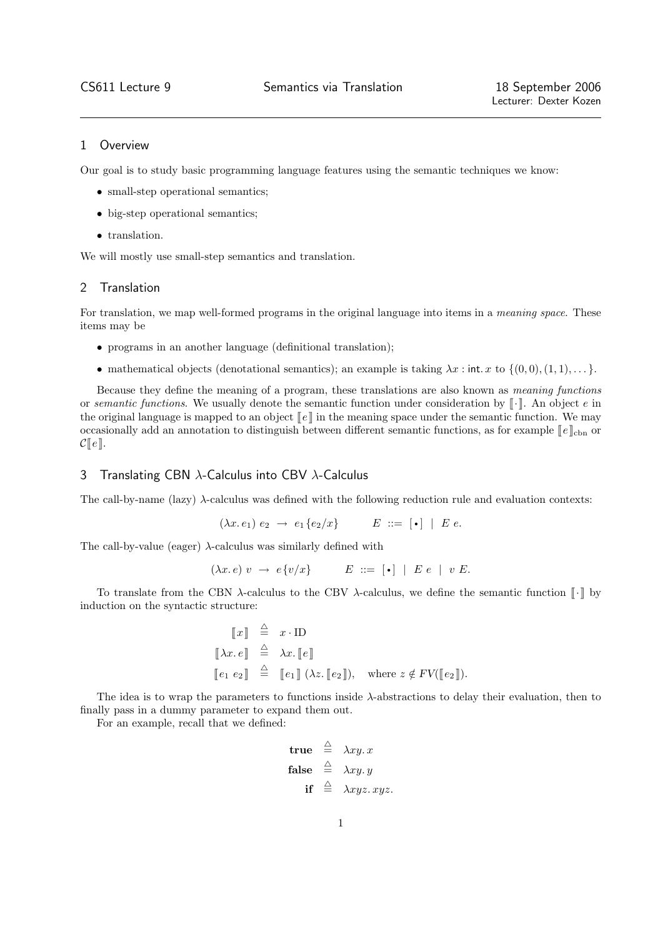## 1 Overview

Our goal is to study basic programming language features using the semantic techniques we know:

- small-step operational semantics;
- big-step operational semantics;
- translation.

We will mostly use small-step semantics and translation.

## 2 Translation

For translation, we map well-formed programs in the original language into items in a *meaning space*. These items may be

- programs in an another language (definitional translation);
- mathematical objects (denotational semantics); an example is taking  $\lambda x$  : int. x to  $\{(0,0), (1, 1), \ldots\}$ .

Because they define the meaning of a program, these translations are also known as meaning functions or semantic functions. We usually denote the semantic function under consideration by  $\lceil \cdot \rceil$ . An object e in the original language is mapped to an object  $\llbracket e \rrbracket$  in the meaning space under the semantic function. We may occasionally add an annotation to distinguish between different semantic functions, as for example  $\llbracket e \rrbracket_{\text{cbn}}$  or  $\mathcal{C}[[e]].$ 

# 3 Translating CBN λ-Calculus into CBV λ-Calculus

The call-by-name (lazy)  $\lambda$ -calculus was defined with the following reduction rule and evaluation contexts:

$$
(\lambda x.\,e_1)\,e_2\,\,\rightarrow\,\,e_1\{e_2/x\}\qquad\qquad E\ ::= \ [\bullet] \,\,\mid\,\, E\,\,e.
$$

The call-by-value (eager)  $\lambda$ -calculus was similarly defined with

$$
(\lambda x. e) v \rightarrow e \{v/x\} \qquad E ::= [\bullet] | E e | v E.
$$

To translate from the CBN  $\lambda$ -calculus to the CBV  $\lambda$ -calculus, we define the semantic function  $\lbrack \cdot \rbrack$  by induction on the syntactic structure:

$$
\begin{array}{rcl}\n\llbracket x \rrbracket & \stackrel{\triangle}{=} & x \cdot \text{ID} \\
\llbracket \lambda x. e \rrbracket & \stackrel{\triangle}{=} & \lambda x. \llbracket e \rrbracket \\
\llbracket e_1 \ e_2 \rrbracket & \stackrel{\triangle}{=} & \llbracket e_1 \rrbracket \ (\lambda z. \llbracket e_2 \rrbracket), \quad \text{where } z \notin FV(\llbracket e_2 \rrbracket).\n\end{array}
$$

The idea is to wrap the parameters to functions inside  $\lambda$ -abstractions to delay their evaluation, then to finally pass in a dummy parameter to expand them out.

For an example, recall that we defined:

$$
\begin{array}{rcl}\n\mathbf{true} & \stackrel{\triangle}{=} & \lambda xy. x \\
\mathbf{false} & \stackrel{\triangle}{=} & \lambda xy. y \\
\mathbf{if} & \stackrel{\triangle}{=} & \lambda xyz. xyz.\n\end{array}
$$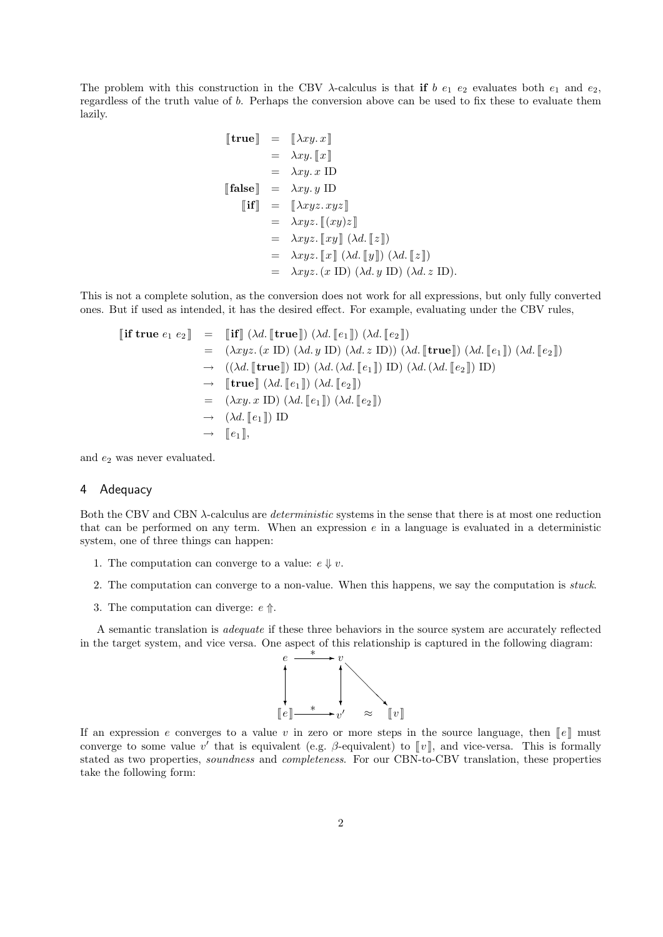The problem with this construction in the CBV  $\lambda$ -calculus is that if b  $e_1$  e<sub>2</sub> evaluates both  $e_1$  and  $e_2$ , regardless of the truth value of b. Perhaps the conversion above can be used to fix these to evaluate them lazily.

$$
\begin{aligned}\n[\mathbf{true}] &= [\lambda xy. x] \\
&= \lambda xy. [\![x]\!] \\
&= \lambda xy. x \text{ ID} \\
[\mathbf{false}] &= \lambda xy. y \text{ ID} \\
[\mathbf{if}] &= [\lambda xyz. xyz] \\
&= \lambda xyz. [\![(xy)z]\!] \\
&= \lambda xyz. [\![xy]\!] \ (\lambda d. [\![z]\!]) \\
&= \lambda xyz. [\![x]\!] \ (\lambda d. [\![y]\!]) \ (\lambda d. [\![z]\!]) \\
&= \lambda xyz. (x \text{ ID}) \ (\lambda d. y \text{ ID}) \ (\lambda d. z \text{ ID}).\n\end{aligned}
$$

This is not a complete solution, as the conversion does not work for all expressions, but only fully converted ones. But if used as intended, it has the desired effect. For example, evaluating under the CBV rules,

$$
\begin{aligned}\n\llbracket \textbf{if true } e_1 \ e_2 \rrbracket &= \llbracket \textbf{if} \rrbracket \ (\lambda d. \llbracket \textbf{true} \rrbracket) \ (\lambda d. \llbracket e_1 \rrbracket) \ (\lambda d. \llbracket e_2 \rrbracket) \\
&= (\lambda xyz. (x \text{ ID}) (\lambda d. y \text{ ID}) (\lambda d. z \text{ ID})) (\lambda d. \llbracket \textbf{true} \rrbracket) (\lambda d. \llbracket e_1 \rrbracket) (\lambda d. \llbracket e_2 \rrbracket) \\
&\rightarrow \ (\langle \lambda d. \llbracket \textbf{true} \rrbracket) \text{ ID}) (\lambda d. (\lambda d. \llbracket e_1 \rrbracket) \text{ ID}) (\lambda d. (\lambda d. \llbracket e_2 \rrbracket) \text{ ID}) \\
&\rightarrow \llbracket \textbf{true} \rrbracket (\lambda d. \llbracket e_1 \rrbracket) (\lambda d. \llbracket e_2 \rrbracket) \\
&\rightarrow \ (\lambda xy. x \text{ ID}) (\lambda d. \llbracket e_1 \rrbracket) (\lambda d. \llbracket e_2 \rrbracket) \\
&\rightarrow \ (\lambda d. \llbracket e_1 \rrbracket) \text{ ID} \\
&\rightarrow \llbracket e_1 \rrbracket,\n\end{aligned}
$$

and  $e_2$  was never evaluated.

## 4 Adequacy

Both the CBV and CBN  $\lambda$ -calculus are *deterministic* systems in the sense that there is at most one reduction that can be performed on any term. When an expression  $e$  in a language is evaluated in a deterministic system, one of three things can happen:

- 1. The computation can converge to a value:  $e \Downarrow v$ .
- 2. The computation can converge to a non-value. When this happens, we say the computation is stuck.
- 3. The computation can diverge:  $e \nightharpoonup$ .

A semantic translation is adequate if these three behaviors in the source system are accurately reflected in the target system, and vice versa. One aspect of this relationship is captured in the following diagram:



If an expression e converges to a value v in zero or more steps in the source language, then  $\llbracket e \rrbracket$  must converge to some value v' that is equivalent (e.g.  $\beta$ -equivalent) to [v], and vice-versa. This is formally stated as two properties, soundness and completeness. For our CBN-to-CBV translation, these properties take the following form: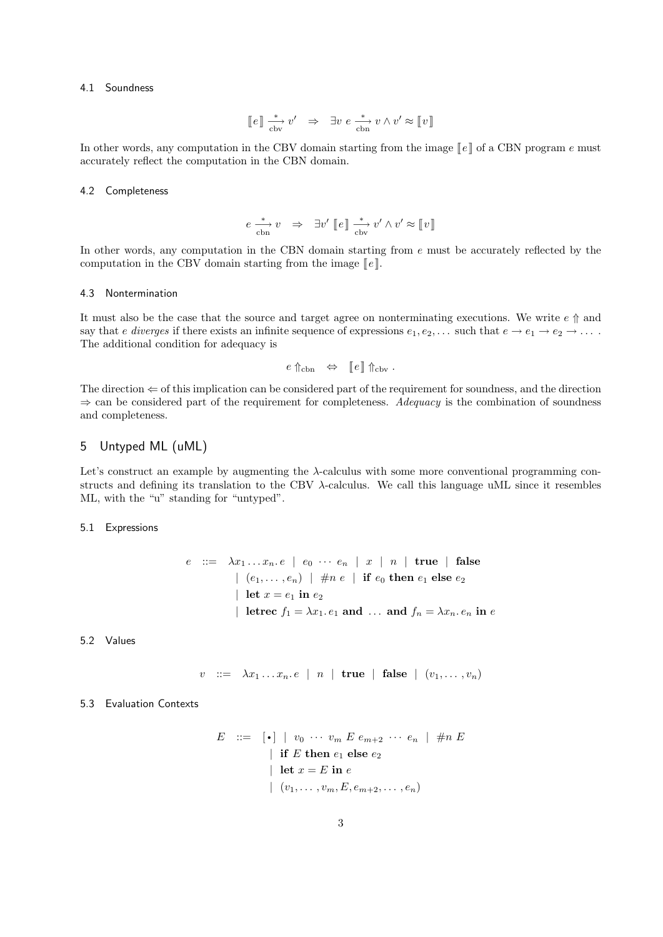### 4.1 Soundness

$$
[\![ e ]\!] \overset{*}{\underset{\text{cbv}}{\longrightarrow}} v' \ \ \Rightarrow \ \ \exists v \ e \overset{*}{\underset{\text{cbn}}{\longrightarrow}} v \wedge v' \approx [\![ v ]\!]
$$

In other words, any computation in the CBV domain starting from the image  $\llbracket e \rrbracket$  of a CBN program e must accurately reflect the computation in the CBN domain.

### 4.2 Completeness

$$
e \xrightarrow{\ast} v \Rightarrow \exists v' \; [e] \xrightarrow{\ast} v' \wedge v' \approx [v]
$$

In other words, any computation in the CBN domain starting from  $e$  must be accurately reflected by the computation in the CBV domain starting from the image  $\lbrack\! \lbrack e \rbrack\! \rbrack$ .

#### 4.3 Nontermination

It must also be the case that the source and target agree on nonterminating executions. We write  $e \uparrow$  and say that e diverges if there exists an infinite sequence of expressions  $e_1, e_2, \ldots$  such that  $e \to e_1 \to e_2 \to \ldots$ . The additional condition for adequacy is

$$
e \uparrow_{\text{cbn}} \quad \Leftrightarrow \quad [e] \uparrow_{\text{cbv}}.
$$

The direction  $\Leftarrow$  of this implication can be considered part of the requirement for soundness, and the direction  $\Rightarrow$  can be considered part of the requirement for completeness. Adequacy is the combination of soundness and completeness.

# 5 Untyped ML (uML)

Let's construct an example by augmenting the λ-calculus with some more conventional programming constructs and defining its translation to the CBV λ-calculus. We call this language uML since it resembles ML, with the "u" standing for "untyped".

5.1 Expressions

$$
e \ ::= \ \lambda x_1 \ldots x_n \cdot e \mid e_0 \cdots e_n \mid x \mid n \mid \text{true} \mid \text{false}
$$
\n
$$
\mid (e_1, \ldots, e_n) \mid \#n \ e \mid \text{if } e_0 \text{ then } e_1 \text{ else } e_2
$$
\n
$$
\mid \text{let } x = e_1 \text{ in } e_2
$$
\n
$$
\mid \text{letrec } f_1 = \lambda x_1 \cdot e_1 \text{ and } \ldots \text{ and } f_n = \lambda x_n \cdot e_n \text{ in } e
$$

5.2 Values

$$
v ::= \lambda x_1 ... x_n e \mid n \mid \text{true} \mid \text{false} \mid (v_1, ..., v_n)
$$

### 5.3 Evaluation Contexts

$$
E \quad ::= \quad [\bullet] \mid v_0 \; \cdots \; v_m \; E \; e_{m+2} \; \cdots \; e_n \mid \; \# n \; E
$$
\n
$$
\mid \text{ if } E \text{ then } e_1 \text{ else } e_2
$$
\n
$$
\mid \text{ let } x = E \text{ in } e
$$
\n
$$
\mid (v_1, \ldots, v_m, E, e_{m+2}, \ldots, e_n)
$$